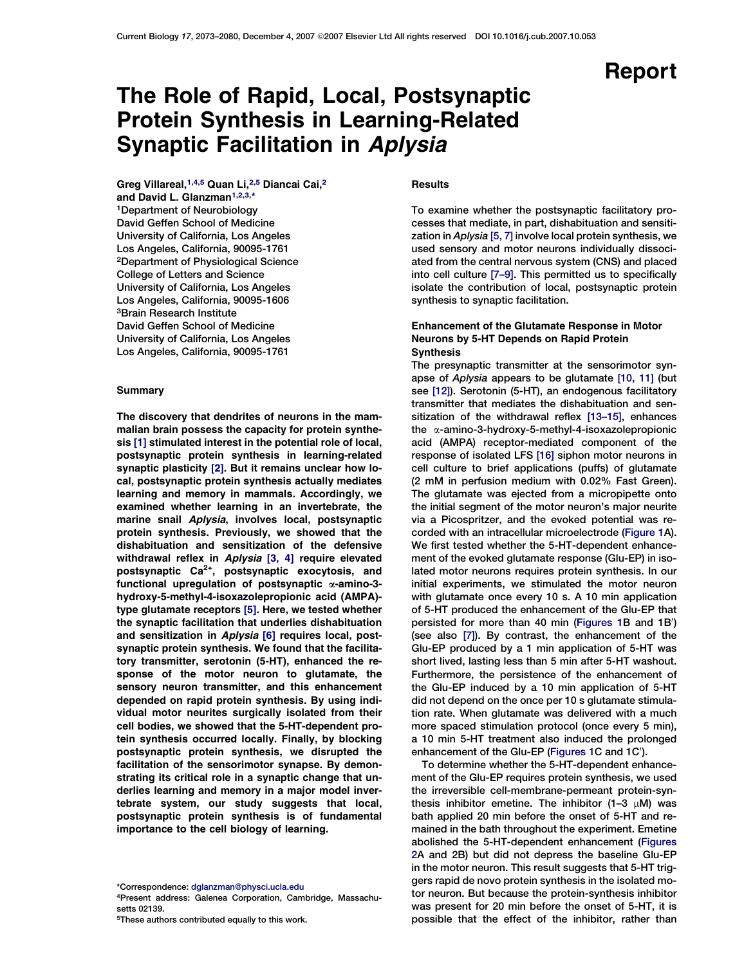Report

# The Role of Rapid, Local, Postsynaptic Protein Synthesis in Learning-Related **Synaptic Facilitation in Aplysia**

Greg Villareal, 1,4,5 Quan Li, 2,5 Diancai Cai, 2 and David L. Glanzman<sup>1,2,3,\*</sup> 1Department of Neurobiology David Geffen School of Medicine University of California, Los Angeles Los Angeles, California, 90095-1761 2Department of Physiological Science College of Letters and Science University of California, Los Angeles Los Angeles, California, 90095-1606 3Brain Research Institute David Geffen School of Medicine University of California, Los Angeles Los Angeles, California, 90095-1761

#### Summary

The discovery that dendrites of neurons in the mammalian brain possess the capacity for protein synthesis [\[1\]](#page-6-0) stimulated interest in the potential role of local, postsynaptic protein synthesis in learning-related synaptic plasticity [\[2\].](#page-6-0) But it remains unclear how local, postsynaptic protein synthesis actually mediates learning and memory in mammals. Accordingly, we examined whether learning in an invertebrate, the marine snail Aplysia, involves local, postsynaptic protein synthesis. Previously, we showed that the dishabituation and sensitization of the defensive withdrawal reflex in Aplysia [\[3, 4\]](#page-6-0) require elevated postsynaptic  $Ca^{2+}$ , postsynaptic exocytosis, and functional upregulation of postsynaptic  $\alpha$ -amino-3hydroxy-5-methyl-4-isoxazolepropionic acid (AMPA) type glutamate receptors [\[5\]](#page-6-0). Here, we tested whether the synaptic facilitation that underlies dishabituation and sensitization in Aplysia [\[6\]](#page-6-0) requires local, postsynaptic protein synthesis. We found that the facilitatory transmitter, serotonin (5-HT), enhanced the response of the motor neuron to glutamate, the sensory neuron transmitter, and this enhancement depended on rapid protein synthesis. By using individual motor neurites surgically isolated from their cell bodies, we showed that the 5-HT-dependent protein synthesis occurred locally. Finally, by blocking postsynaptic protein synthesis, we disrupted the facilitation of the sensorimotor synapse. By demonstrating its critical role in a synaptic change that underlies learning and memory in a major model invertebrate system, our study suggests that local, postsynaptic protein synthesis is of fundamental importance to the cell biology of learning.

## **Results**

To examine whether the postsynaptic facilitatory processes that mediate, in part, dishabituation and sensitization in Aplysia [\[5, 7\]](#page-6-0) involve local protein synthesis, we used sensory and motor neurons individually dissociated from the central nervous system (CNS) and placed into cell culture [\[7–9\].](#page-6-0) This permitted us to specifically isolate the contribution of local, postsynaptic protein synthesis to synaptic facilitation.

## Enhancement of the Glutamate Response in Motor Neurons by 5-HT Depends on Rapid Protein Synthesis

The presynaptic transmitter at the sensorimotor synapse of Aplysia appears to be glutamate [\[10, 11\]](#page-6-0) (but see [\[12\]](#page-6-0)). Serotonin (5-HT), an endogenous facilitatory transmitter that mediates the dishabituation and sensitization of the withdrawal reflex [\[13–15\]](#page-6-0), enhances the a-amino-3-hydroxy-5-methyl-4-isoxazolepropionic acid (AMPA) receptor-mediated component of the response of isolated LFS [\[16\]](#page-6-0) siphon motor neurons in cell culture to brief applications (puffs) of glutamate (2 mM in perfusion medium with 0.02% Fast Green). The glutamate was ejected from a micropipette onto the initial segment of the motor neuron's major neurite via a Picospritzer, and the evoked potential was recorded with an intracellular microelectrode ([Figure 1A](#page-1-0)). We first tested whether the 5-HT-dependent enhancement of the evoked glutamate response (Glu-EP) in isolated motor neurons requires protein synthesis. In our initial experiments, we stimulated the motor neuron with glutamate once every 10 s. A 10 min application of 5-HT produced the enhancement of the Glu-EP that persisted for more than 40 min ([Figures 1](#page-1-0)B and 1B') (see also [\[7\]](#page-6-0)). By contrast, the enhancement of the Glu-EP produced by a 1 min application of 5-HT was short lived, lasting less than 5 min after 5-HT washout. Furthermore, the persistence of the enhancement of the Glu-EP induced by a 10 min application of 5-HT did not depend on the once per 10 s glutamate stimulation rate. When glutamate was delivered with a much more spaced stimulation protocol (once every 5 min), a 10 min 5-HT treatment also induced the prolonged enhancement of the Glu-EP (Figures  $1C$  and  $1C'$ ).

To determine whether the 5-HT-dependent enhancement of the Glu-EP requires protein synthesis, we used the irreversible cell-membrane-permeant protein-synthesis inhibitor emetine. The inhibitor  $(1-3 \mu M)$  was bath applied 20 min before the onset of 5-HT and remained in the bath throughout the experiment. Emetine abolished the 5-HT-dependent enhancement ([Figures](#page-2-0) [2](#page-2-0)A and 2B) but did not depress the baseline Glu-EP in the motor neuron. This result suggests that 5-HT triggers rapid de novo protein synthesis in the isolated motor neuron. But because the protein-synthesis inhibitor was present for 20 min before the onset of 5-HT, it is possible that the effect of the inhibitor, rather than

<sup>\*</sup>Correspondence: [dglanzman@physci.ucla.edu](mailto:dglanzman@physci.ucla.edu)

<sup>4</sup>Present address: Galenea Corporation, Cambridge, Massachusetts 02139.

<sup>5</sup>These authors contributed equally to this work.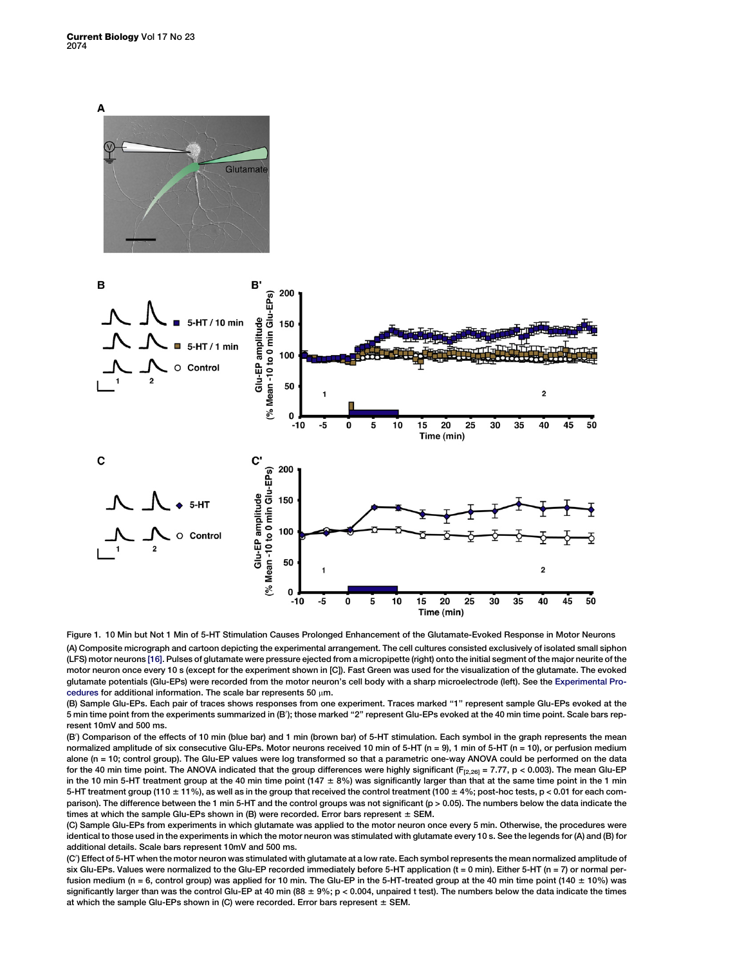<span id="page-1-0"></span>

Figure 1. 10 Min but Not 1 Min of 5-HT Stimulation Causes Prolonged Enhancement of the Glutamate-Evoked Response in Motor Neurons

(A) Composite micrograph and cartoon depicting the experimental arrangement. The cell cultures consisted exclusively of isolated small siphon (LFS) motor neurons [\[16\].](#page-6-0) Pulses of glutamate were pressure ejected from a micropipette (right) onto the initial segment of the major neurite of the motor neuron once every 10 s (except for the experiment shown in [C]). Fast Green was used for the visualization of the glutamate. The evoked glutamate potentials (Glu-EPs) were recorded from the motor neuron's cell body with a sharp microelectrode (left). See the [Experimental Pro](#page-5-0)[cedures](#page-5-0) for additional information. The scale bar represents 50  $\mu$ m.

(B) Sample Glu-EPs. Each pair of traces shows responses from one experiment. Traces marked "1" represent sample Glu-EPs evoked at the 5 min time point from the experiments summarized in (B'); those marked "2" represent Glu-EPs evoked at the 40 min time point. Scale bars represent 10mV and 500 ms.

(B') Comparison of the effects of 10 min (blue bar) and 1 min (brown bar) of 5-HT stimulation. Each symbol in the graph represents the mean normalized amplitude of six consecutive Glu-EPs. Motor neurons received 10 min of 5-HT (n = 9), 1 min of 5-HT (n = 10), or perfusion medium alone (n = 10; control group). The Glu-EP values were log transformed so that a parametric one-way ANOVA could be performed on the data for the 40 min time point. The ANOVA indicated that the group differences were highly significant ( $F_{[2,26]} = 7.77$ , p < 0.003). The mean Glu-EP in the 10 min 5-HT treatment group at the 40 min time point (147  $\pm$  8%) was significantly larger than that at the same time point in the 1 min 5-HT treatment group (110  $\pm$  11%), as well as in the group that received the control treatment (100  $\pm$  4%; post-hoc tests, p < 0.01 for each comparison). The difference between the 1 min 5-HT and the control groups was not significant (p > 0.05). The numbers below the data indicate the times at which the sample Glu-EPs shown in (B) were recorded. Error bars represent  $\pm$  SEM.

(C) Sample Glu-EPs from experiments in which glutamate was applied to the motor neuron once every 5 min. Otherwise, the procedures were identical to those used in the experiments in which the motor neuron was stimulated with glutamate every 10 s. See the legends for (A) and (B) for additional details. Scale bars represent 10mV and 500 ms.

(C') Effect of 5-HT when the motor neuron was stimulated with glutamate at a low rate. Each symbol represents the mean normalized amplitude of six Glu-EPs. Values were normalized to the Glu-EP recorded immediately before 5-HT application (t = 0 min). Either 5-HT (n = 7) or normal perfusion medium (n = 6, control group) was applied for 10 min. The Glu-EP in the 5-HT-treated group at the 40 min time point (140  $\pm$  10%) was significantly larger than was the control Glu-EP at 40 min (88  $\pm$  9%; p < 0.004, unpaired t test). The numbers below the data indicate the times at which the sample Glu-EPs shown in (C) were recorded. Error bars represent  $\pm$  SEM.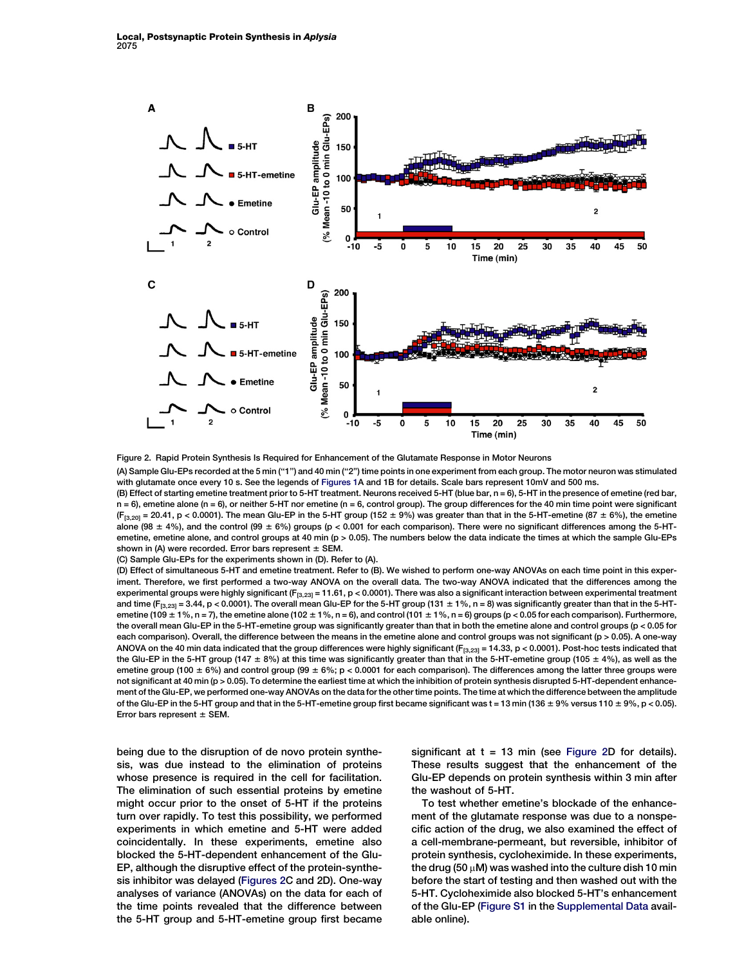<span id="page-2-0"></span>

Figure 2. Rapid Protein Synthesis Is Required for Enhancement of the Glutamate Response in Motor Neurons

(A) Sample Glu-EPs recorded at the 5 min (''1'') and 40 min (''2'') time points in one experiment from each group. The motor neuron was stimulated with glutamate once every 10 s. See the legends of [Figures 1](#page-1-0)A and 1B for details. Scale bars represent 10mV and 500 ms.

(B) Effect of starting emetine treatment prior to 5-HT treatment. Neurons received 5-HT (blue bar, n = 6), 5-HT in the presence of emetine (red bar, n = 6), emetine alone (n = 6), or neither 5-HT nor emetine (n = 6, control group). The group differences for the 40 min time point were significant  $(F_{[3,20]} = 20.41$ , p < 0.0001). The mean Glu-EP in the 5-HT group (152 ± 9%) was greater than that in the 5-HT-emetine (87 ± 6%), the emetine alone (98  $\pm$  4%), and the control (99  $\pm$  6%) groups (p < 0.001 for each comparison). There were no significant differences among the 5-HTemetine, emetine alone, and control groups at 40 min (p > 0.05). The numbers below the data indicate the times at which the sample Glu-EPs shown in (A) were recorded. Error bars represent  $\pm$  SEM.

(C) Sample Glu-EPs for the experiments shown in (D). Refer to (A).

(D) Effect of simultaneous 5-HT and emetine treatment. Refer to (B). We wished to perform one-way ANOVAs on each time point in this experiment. Therefore, we first performed a two-way ANOVA on the overall data. The two-way ANOVA indicated that the differences among the experimental groups were highly significant (F<sub>[3,23]</sub> = 11.61, p < 0.0001). There was also a significant interaction between experimental treatment and time ( $F_{[3,23]} = 3.44$ , p < 0.0001). The overall mean Glu-EP for the 5-HT group (131  $\pm$  1%, n = 8) was significantly greater than that in the 5-HTemetine (109  $\pm$  1%, n = 7), the emetine alone (102  $\pm$  1%, n = 6), and control (101  $\pm$  1%, n = 6) groups (p < 0.05 for each comparison). Furthermore, the overall mean Glu-EP in the 5-HT-emetine group was significantly greater than that in both the emetine alone and control groups (p < 0.05 for each comparison). Overall, the difference between the means in the emetine alone and control groups was not significant (p > 0.05). A one-way ANOVA on the 40 min data indicated that the group differences were highly significant ( $F_{[3,23]} = 14.33$ ,  $p < 0.0001$ ). Post-hoc tests indicated that the Glu-EP in the 5-HT group (147  $\pm$  8%) at this time was significantly greater than that in the 5-HT-emetine group (105  $\pm$  4%), as well as the emetine group (100  $\pm$  6%) and control group (99  $\pm$  6%; p < 0.0001 for each comparison). The differences among the latter three groups were not significant at 40 min (p > 0.05). To determine the earliest time at which the inhibition of protein synthesis disrupted 5-HT-dependent enhancement of the Glu-EP, we performed one-way ANOVAs on the data for the other time points. The time at which the difference between the amplitude of the Glu-EP in the 5-HT group and that in the 5-HT-emetine group first became significant was  $t = 13$  min (136  $\pm$  9% versus 110  $\pm$  9%, p < 0.05). Error bars represent  $\pm$  SEM.

being due to the disruption of de novo protein synthesis, was due instead to the elimination of proteins whose presence is required in the cell for facilitation. The elimination of such essential proteins by emetine might occur prior to the onset of 5-HT if the proteins turn over rapidly. To test this possibility, we performed experiments in which emetine and 5-HT were added coincidentally. In these experiments, emetine also blocked the 5-HT-dependent enhancement of the Glu-EP, although the disruptive effect of the protein-synthesis inhibitor was delayed (Figures 2C and 2D). One-way analyses of variance (ANOVAs) on the data for each of the time points revealed that the difference between the 5-HT group and 5-HT-emetine group first became

significant at  $t = 13$  min (see Figure 2D for details). These results suggest that the enhancement of the Glu-EP depends on protein synthesis within 3 min after the washout of 5-HT.

To test whether emetine's blockade of the enhancement of the glutamate response was due to a nonspecific action of the drug, we also examined the effect of a cell-membrane-permeant, but reversible, inhibitor of protein synthesis, cycloheximide. In these experiments, the drug (50  $\mu$ M) was washed into the culture dish 10 min before the start of testing and then washed out with the 5-HT. Cycloheximide also blocked 5-HT's enhancement of the Glu-EP ([Figure S1](#page-6-0) in the [Supplemental Data](#page-6-0) available online).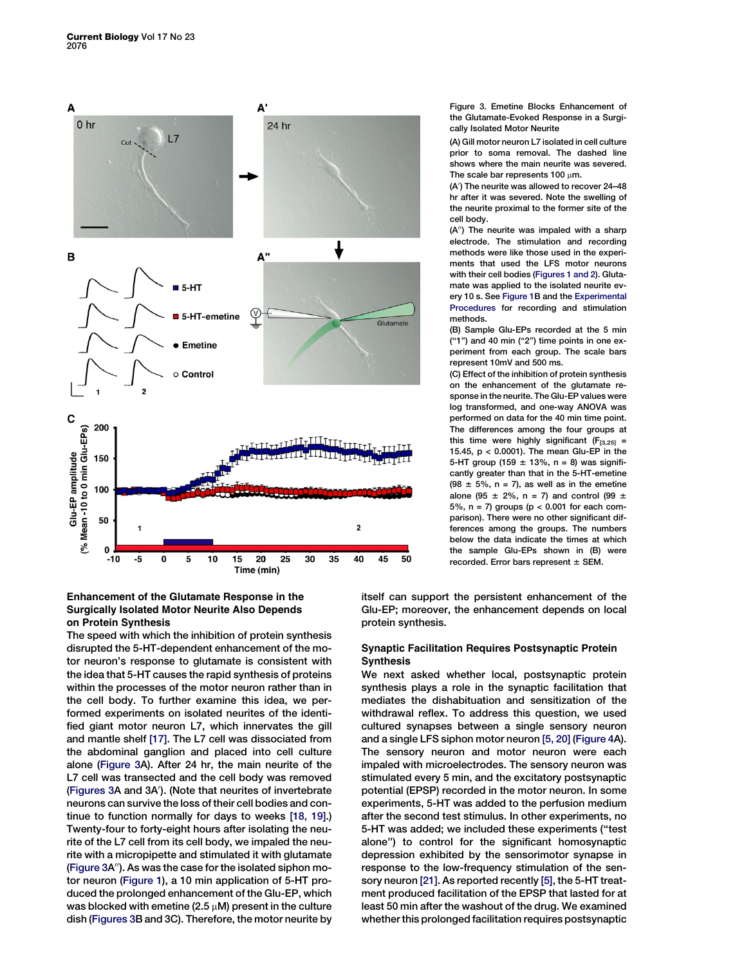

# Enhancement of the Glutamate Response in the Surgically Isolated Motor Neurite Also Depends on Protein Synthesis

The speed with which the inhibition of protein synthesis disrupted the 5-HT-dependent enhancement of the motor neuron's response to glutamate is consistent with the idea that 5-HT causes the rapid synthesis of proteins within the processes of the motor neuron rather than in the cell body. To further examine this idea, we performed experiments on isolated neurites of the identified giant motor neuron L7, which innervates the gill and mantle shelf [\[17\]](#page-6-0). The L7 cell was dissociated from the abdominal ganglion and placed into cell culture alone (Figure 3A). After 24 hr, the main neurite of the L7 cell was transected and the cell body was removed (Figures 3A and 3A'). (Note that neurites of invertebrate neurons can survive the loss of their cell bodies and continue to function normally for days to weeks [\[18, 19\]](#page-6-0).) Twenty-four to forty-eight hours after isolating the neurite of the L7 cell from its cell body, we impaled the neurite with a micropipette and stimulated it with glutamate (Figure  $3A''$ ). As was the case for the isolated siphon motor neuron ([Figure 1\)](#page-1-0), a 10 min application of 5-HT produced the prolonged enhancement of the Glu-EP, which was blocked with emetine (2.5  $\mu$ M) present in the culture dish (Figures 3B and 3C). Therefore, the motor neurite by Figure 3. Emetine Blocks Enhancement of the Glutamate-Evoked Response in a Surgically Isolated Motor Neurite

(A) Gill motor neuron L7 isolated in cell culture prior to soma removal. The dashed line shows where the main neurite was severed. The scale bar represents 100  $\mu$ m.

(A') The neurite was allowed to recover 24-48 hr after it was severed. Note the swelling of the neurite proximal to the former site of the cell body.

 $(A'')$  The neurite was impaled with a sharp electrode. The stimulation and recording methods were like those used in the experiments that used the LFS motor neurons with their cell bodies [\(Figures 1 and 2\)](#page-1-0). Glutamate was applied to the isolated neurite every 10 s. See [Figure 1](#page-1-0)B and the [Experimental](#page-5-0) [Procedures](#page-5-0) for recording and stimulation methods.

(B) Sample Glu-EPs recorded at the 5 min ("1") and 40 min ("2") time points in one experiment from each group. The scale bars represent 10mV and 500 ms.

(C) Effect of the inhibition of protein synthesis on the enhancement of the glutamate response in the neurite. The Glu-EP values were log transformed, and one-way ANOVA was performed on data for the 40 min time point. The differences among the four groups at this time were highly significant ( $F_{[3,25]}$  = 15.45, p < 0.0001). The mean Glu-EP in the 5-HT group (159  $\pm$  13%, n = 8) was significantly greater than that in the 5-HT-emetine (98  $\pm$  5%, n = 7), as well as in the emetine alone (95  $\pm$  2%, n = 7) and control (99  $\pm$ 5%,  $n = 7$ ) groups ( $p < 0.001$  for each comparison). There were no other significant differences among the groups. The numbers below the data indicate the times at which the sample Glu-EPs shown in (B) were recorded. Error bars represent  $\pm$  SEM.

itself can support the persistent enhancement of the Glu-EP; moreover, the enhancement depends on local protein synthesis.

# Synaptic Facilitation Requires Postsynaptic Protein Synthesis

We next asked whether local, postsynaptic protein synthesis plays a role in the synaptic facilitation that mediates the dishabituation and sensitization of the withdrawal reflex. To address this question, we used cultured synapses between a single sensory neuron and a single LFS siphon motor neuron [\[5, 20\]](#page-6-0) ([Figure 4A](#page-4-0)). The sensory neuron and motor neuron were each impaled with microelectrodes. The sensory neuron was stimulated every 5 min, and the excitatory postsynaptic potential (EPSP) recorded in the motor neuron. In some experiments, 5-HT was added to the perfusion medium after the second test stimulus. In other experiments, no 5-HT was added; we included these experiments (''test alone'') to control for the significant homosynaptic depression exhibited by the sensorimotor synapse in response to the low-frequency stimulation of the sensory neuron [\[21\].](#page-6-0) As reported recently [\[5\]](#page-6-0), the 5-HT treatment produced facilitation of the EPSP that lasted for at least 50 min after the washout of the drug. We examined whether this prolonged facilitation requires postsynaptic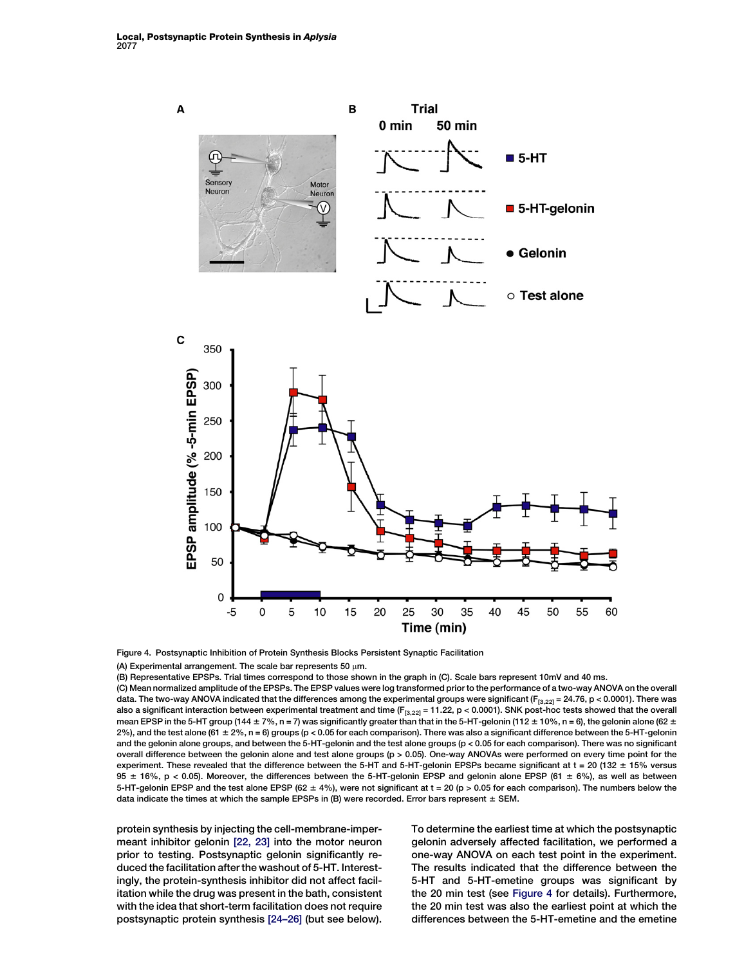<span id="page-4-0"></span>



(A) Experimental arrangement. The scale bar represents 50  $\mu$ m.

(B) Representative EPSPs. Trial times correspond to those shown in the graph in (C). Scale bars represent 10mV and 40 ms. (C) Mean normalized amplitude of the EPSPs. The EPSP values were log transformed prior to the performance of a two-way ANOVA on the overall data. The two-way ANOVA indicated that the differences among the experimental groups were significant ( $F_{[3,22]} = 24.76$ , p < 0.0001). There was also a significant interaction between experimental treatment and time ( $F_{[3,22]}$  = 11.22, p < 0.0001). SNK post-hoc tests showed that the overall mean EPSP in the 5-HT group (144  $\pm$  7%, n = 7) was significantly greater than that in the 5-HT-gelonin (112  $\pm$  10%, n = 6), the gelonin alone (62  $\pm$  $2\%)$ , and the test alone (61 ±  $2\%$ , n = 6) groups (p < 0.05 for each comparison). There was also a significant difference between the 5-HT-gelonin and the gelonin alone groups, and between the 5-HT-gelonin and the test alone groups (p < 0.05 for each comparison). There was no significant overall difference between the gelonin alone and test alone groups (p > 0.05). One-way ANOVAs were performed on every time point for the experiment. These revealed that the difference between the 5-HT and 5-HT-gelonin EPSPs became significant at  $t = 20$  (132  $\pm$  15% versus 95  $\pm$  16%, p < 0.05). Moreover, the differences between the 5-HT-gelonin EPSP and gelonin alone EPSP (61  $\pm$  6%), as well as between 5-HT-gelonin EPSP and the test alone EPSP (62  $\pm$  4%), were not significant at t = 20 (p > 0.05 for each comparison). The numbers below the data indicate the times at which the sample EPSPs in  $(B)$  were recorded. Error bars represent  $\pm$  SEM.

protein synthesis by injecting the cell-membrane-impermeant inhibitor gelonin [\[22, 23\]](#page-7-0) into the motor neuron prior to testing. Postsynaptic gelonin significantly reduced the facilitation after the washout of 5-HT. Interestingly, the protein-synthesis inhibitor did not affect facilitation while the drug was present in the bath, consistent with the idea that short-term facilitation does not require postsynaptic protein synthesis [\[24–26\]](#page-7-0) (but see below).

To determine the earliest time at which the postsynaptic gelonin adversely affected facilitation, we performed a one-way ANOVA on each test point in the experiment. The results indicated that the difference between the 5-HT and 5-HT-emetine groups was significant by the 20 min test (see Figure 4 for details). Furthermore, the 20 min test was also the earliest point at which the differences between the 5-HT-emetine and the emetine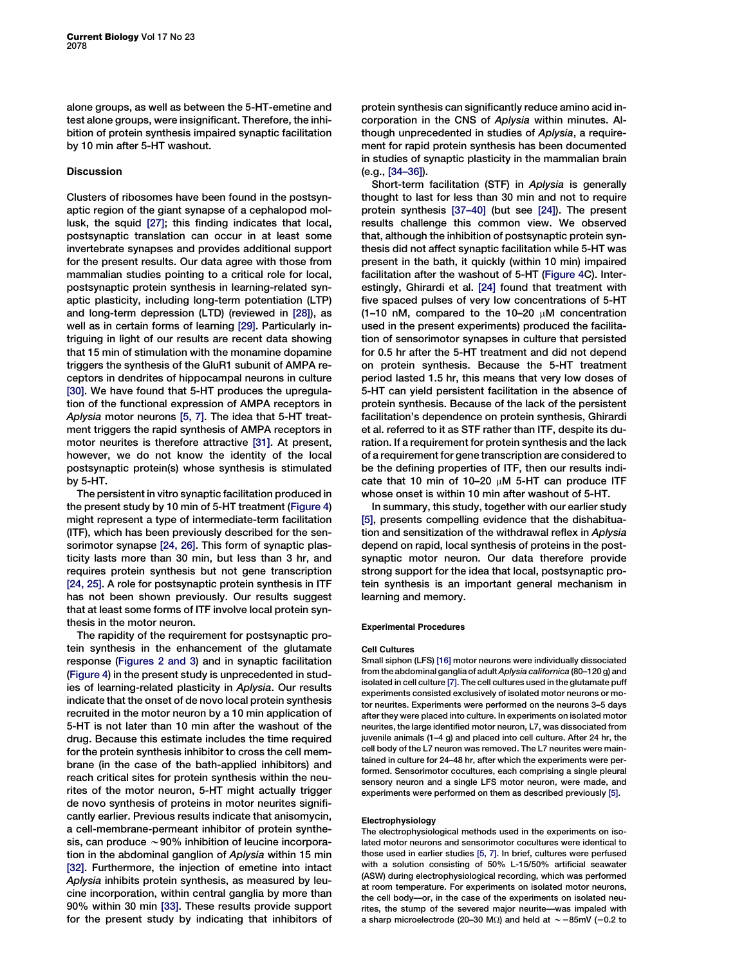<span id="page-5-0"></span>alone groups, as well as between the 5-HT-emetine and test alone groups, were insignificant. Therefore, the inhibition of protein synthesis impaired synaptic facilitation by 10 min after 5-HT washout.

## **Discussion**

Clusters of ribosomes have been found in the postsynaptic region of the giant synapse of a cephalopod mollusk, the squid [\[27\]](#page-7-0); this finding indicates that local, postsynaptic translation can occur in at least some invertebrate synapses and provides additional support for the present results. Our data agree with those from mammalian studies pointing to a critical role for local, postsynaptic protein synthesis in learning-related synaptic plasticity, including long-term potentiation (LTP) and long-term depression (LTD) (reviewed in [\[28\]\)](#page-7-0), as well as in certain forms of learning [\[29\]](#page-7-0). Particularly intriguing in light of our results are recent data showing that 15 min of stimulation with the monamine dopamine triggers the synthesis of the GluR1 subunit of AMPA receptors in dendrites of hippocampal neurons in culture [\[30\]](#page-7-0). We have found that 5-HT produces the upregulation of the functional expression of AMPA receptors in Aplysia motor neurons [\[5, 7\].](#page-6-0) The idea that 5-HT treatment triggers the rapid synthesis of AMPA receptors in motor neurites is therefore attractive [\[31\]](#page-7-0). At present, however, we do not know the identity of the local postsynaptic protein(s) whose synthesis is stimulated by 5-HT.

The persistent in vitro synaptic facilitation produced in the present study by 10 min of 5-HT treatment ([Figure 4\)](#page-4-0) might represent a type of intermediate-term facilitation (ITF), which has been previously described for the sensorimotor synapse [\[24, 26\].](#page-7-0) This form of synaptic plasticity lasts more than 30 min, but less than 3 hr, and requires protein synthesis but not gene transcription [\[24, 25\]](#page-7-0). A role for postsynaptic protein synthesis in ITF has not been shown previously. Our results suggest that at least some forms of ITF involve local protein synthesis in the motor neuron.

The rapidity of the requirement for postsynaptic protein synthesis in the enhancement of the glutamate response ([Figures 2 and 3\)](#page-2-0) and in synaptic facilitation [\(Figure 4\)](#page-4-0) in the present study is unprecedented in studies of learning-related plasticity in Aplysia. Our results indicate that the onset of de novo local protein synthesis recruited in the motor neuron by a 10 min application of 5-HT is not later than 10 min after the washout of the drug. Because this estimate includes the time required for the protein synthesis inhibitor to cross the cell membrane (in the case of the bath-applied inhibitors) and reach critical sites for protein synthesis within the neurites of the motor neuron, 5-HT might actually trigger de novo synthesis of proteins in motor neurites significantly earlier. Previous results indicate that anisomycin, a cell-membrane-permeant inhibitor of protein synthesis, can produce  $\sim$  90% inhibition of leucine incorporation in the abdominal ganglion of Aplysia within 15 min [\[32\]](#page-7-0). Furthermore, the injection of emetine into intact Aplysia inhibits protein synthesis, as measured by leucine incorporation, within central ganglia by more than 90% within 30 min [\[33\].](#page-7-0) These results provide support for the present study by indicating that inhibitors of protein synthesis can significantly reduce amino acid incorporation in the CNS of Aplysia within minutes. Although unprecedented in studies of Aplysia, a requirement for rapid protein synthesis has been documented in studies of synaptic plasticity in the mammalian brain (e.g., [\[34–36\]\)](#page-7-0).

Short-term facilitation (STF) in Aplysia is generally thought to last for less than 30 min and not to require protein synthesis [\[37–40\]](#page-7-0) (but see [\[24\]\)](#page-7-0). The present results challenge this common view. We observed that, although the inhibition of postsynaptic protein synthesis did not affect synaptic facilitation while 5-HT was present in the bath, it quickly (within 10 min) impaired facilitation after the washout of 5-HT ([Figure 4C](#page-4-0)). Interestingly, Ghirardi et al. [\[24\]](#page-7-0) found that treatment with five spaced pulses of very low concentrations of 5-HT (1-10 nM, compared to the 10-20  $\mu$ M concentration used in the present experiments) produced the facilitation of sensorimotor synapses in culture that persisted for 0.5 hr after the 5-HT treatment and did not depend on protein synthesis. Because the 5-HT treatment period lasted 1.5 hr, this means that very low doses of 5-HT can yield persistent facilitation in the absence of protein synthesis. Because of the lack of the persistent facilitation's dependence on protein synthesis, Ghirardi et al. referred to it as STF rather than ITF, despite its duration. If a requirement for protein synthesis and the lack of a requirement for gene transcription are considered to be the defining properties of ITF, then our results indicate that 10 min of 10-20  $\mu$ M 5-HT can produce ITF whose onset is within 10 min after washout of 5-HT.

In summary, this study, together with our earlier study [\[5\],](#page-6-0) presents compelling evidence that the dishabituation and sensitization of the withdrawal reflex in Aplysia depend on rapid, local synthesis of proteins in the postsynaptic motor neuron. Our data therefore provide strong support for the idea that local, postsynaptic protein synthesis is an important general mechanism in learning and memory.

#### Experimental Procedures

## Cell Cultures

Small siphon (LFS) [\[16\]](#page-6-0) motor neurons were individually dissociated from the abdominal ganglia of adult Aplysia californica (80-120 g) and isolated in cell culture [\[7\].](#page-6-0) The cell cultures used in the glutamate puff experiments consisted exclusively of isolated motor neurons or motor neurites. Experiments were performed on the neurons 3–5 days after they were placed into culture. In experiments on isolated motor neurites, the large identified motor neuron, L7, was dissociated from juvenile animals (1–4 g) and placed into cell culture. After 24 hr, the cell body of the L7 neuron was removed. The L7 neurites were maintained in culture for 24–48 hr, after which the experiments were performed. Sensorimotor cocultures, each comprising a single pleural sensory neuron and a single LFS motor neuron, were made, and experiments were performed on them as described previously [\[5\]](#page-6-0).

#### Electrophysiology

The electrophysiological methods used in the experiments on isolated motor neurons and sensorimotor cocultures were identical to those used in earlier studies [\[5, 7\].](#page-6-0) In brief, cultures were perfused with a solution consisting of 50% L-15/50% artificial seawater (ASW) during electrophysiological recording, which was performed at room temperature. For experiments on isolated motor neurons, the cell body—or, in the case of the experiments on isolated neurites, the stump of the severed major neurite—was impaled with a sharp microelectrode (20-30 M $\Omega$ ) and held at  $\sim$  -85mV (-0.2 to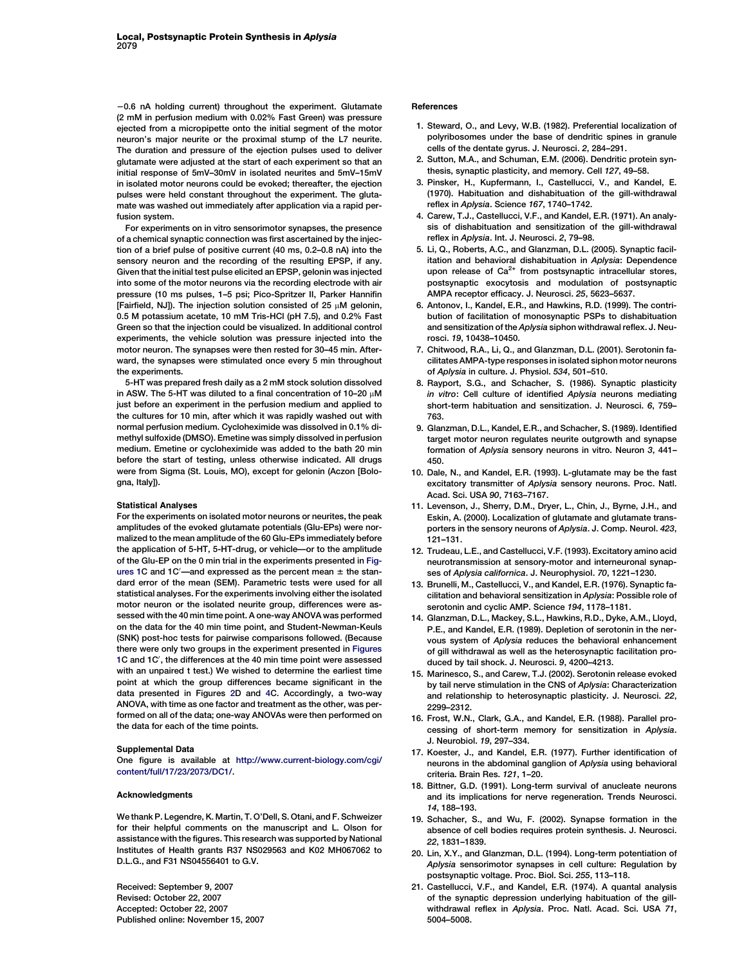<span id="page-6-0"></span> $-0.6$  nA holding current) throughout the experiment. Glutamate (2 mM in perfusion medium with 0.02% Fast Green) was pressure ejected from a micropipette onto the initial segment of the motor neuron's major neurite or the proximal stump of the L7 neurite. The duration and pressure of the ejection pulses used to deliver glutamate were adjusted at the start of each experiment so that an initial response of 5mV–30mV in isolated neurites and 5mV–15mV in isolated motor neurons could be evoked; thereafter, the ejection pulses were held constant throughout the experiment. The glutamate was washed out immediately after application via a rapid perfusion system.

For experiments on in vitro sensorimotor synapses, the presence of a chemical synaptic connection was first ascertained by the injection of a brief pulse of positive current (40 ms, 0.2–0.8 nA) into the sensory neuron and the recording of the resulting EPSP, if any. Given that the initial test pulse elicited an EPSP, gelonin was injected into some of the motor neurons via the recording electrode with air pressure (10 ms pulses, 1–5 psi; Pico-Spritzer II, Parker Hannifin [Fairfield, NJ]). The injection solution consisted of 25  $\mu$ M gelonin, 0.5 M potassium acetate, 10 mM Tris-HCl (pH 7.5), and 0.2% Fast Green so that the injection could be visualized. In additional control experiments, the vehicle solution was pressure injected into the motor neuron. The synapses were then rested for 30–45 min. Afterward, the synapses were stimulated once every 5 min throughout the experiments.

5-HT was prepared fresh daily as a 2 mM stock solution dissolved in ASW. The 5-HT was diluted to a final concentration of  $10-20$   $\mu$ M just before an experiment in the perfusion medium and applied to the cultures for 10 min, after which it was rapidly washed out with normal perfusion medium. Cycloheximide was dissolved in 0.1% dimethyl sulfoxide (DMSO). Emetine was simply dissolved in perfusion medium. Emetine or cycloheximide was added to the bath 20 min before the start of testing, unless otherwise indicated. All drugs were from Sigma (St. Louis, MO), except for gelonin (Aczon [Bologna, Italy]).

#### Statistical Analyses

For the experiments on isolated motor neurons or neurites, the peak amplitudes of the evoked glutamate potentials (Glu-EPs) were normalized to the mean amplitude of the 60 Glu-EPs immediately before the application of 5-HT, 5-HT-drug, or vehicle—or to the amplitude of the Glu-EP on the 0 min trial in the experiments presented in [Fig](#page-1-0)[ures 1C](#page-1-0) and 1C'-and expressed as the percent mean  $\pm$  the standard error of the mean (SEM). Parametric tests were used for all statistical analyses. For the experiments involving either the isolated motor neuron or the isolated neurite group, differences were assessed with the 40 min time point. A one-way ANOVA was performed on the data for the 40 min time point, and Student-Newman-Keuls (SNK) post-hoc tests for pairwise comparisons followed. (Because there were only two groups in the experiment presented in [Figures](#page-1-0) [1C](#page-1-0) and 1C', the differences at the 40 min time point were assessed with an unpaired t test.) We wished to determine the earliest time point at which the group differences became significant in the data presented in Figures [2D](#page-2-0) and [4](#page-4-0)C. Accordingly, a two-way ANOVA, with time as one factor and treatment as the other, was performed on all of the data; one-way ANOVAs were then performed on the data for each of the time points.

#### Supplemental Data

One figure is available at [http://www.current-biology.com/cgi/](http://www.current-biology.com/cgi/content/full/17/23/2073/DC1/) [content/full/17/23/2073/DC1/](http://www.current-biology.com/cgi/content/full/17/23/2073/DC1/).

#### Acknowledgments

We thank P. Legendre, K. Martin, T. O'Dell, S. Otani, and F. Schweizer for their helpful comments on the manuscript and L. Olson for assistance with the figures. This research was supported by National Institutes of Health grants R37 NS029563 and K02 MH067062 to D.L.G., and F31 NS04556401 to G.V.

Received: September 9, 2007 Revised: October 22, 2007 Accepted: October 22, 2007 Published online: November 15, 2007

#### References

- 1. Steward, O., and Levy, W.B. (1982). Preferential localization of polyribosomes under the base of dendritic spines in granule cells of the dentate gyrus. J. Neurosci. 2, 284–291.
- 2. Sutton, M.A., and Schuman, E.M. (2006). Dendritic protein synthesis, synaptic plasticity, and memory. Cell 127, 49–58.
- 3. Pinsker, H., Kupfermann, I., Castellucci, V., and Kandel, E. (1970). Habituation and dishabituation of the gill-withdrawal reflex in Aplysia. Science 167, 1740–1742.
- 4. Carew, T.J., Castellucci, V.F., and Kandel, E.R. (1971). An analysis of dishabituation and sensitization of the gill-withdrawal reflex in Aplysia. Int. J. Neurosci. 2, 79–98.
- 5. Li, Q., Roberts, A.C., and Glanzman, D.L. (2005). Synaptic facilitation and behavioral dishabituation in Aplysia: Dependence upon release of  $Ca^{2+}$  from postsynaptic intracellular stores, postsynaptic exocytosis and modulation of postsynaptic AMPA receptor efficacy. J. Neurosci. 25, 5623–5637.
- 6. Antonov, I., Kandel, E.R., and Hawkins, R.D. (1999). The contribution of facilitation of monosynaptic PSPs to dishabituation and sensitization of the Aplysia siphon withdrawal reflex. J. Neurosci. 19, 10438–10450.
- 7. Chitwood, R.A., Li, Q., and Glanzman, D.L. (2001). Serotonin facilitates AMPA-type responses in isolated siphon motor neurons of Aplysia in culture. J. Physiol. 534, 501–510.
- 8. Rayport, S.G., and Schacher, S. (1986). Synaptic plasticity in vitro: Cell culture of identified Aplysia neurons mediating short-term habituation and sensitization. J. Neurosci. 6, 759– 763.
- 9. Glanzman, D.L., Kandel, E.R., and Schacher, S. (1989). Identified target motor neuron regulates neurite outgrowth and synapse formation of Aplysia sensory neurons in vitro. Neuron 3, 441– 450.
- 10. Dale, N., and Kandel, E.R. (1993). L-glutamate may be the fast excitatory transmitter of Aplysia sensory neurons. Proc. Natl. Acad. Sci. USA 90, 7163–7167.
- 11. Levenson, J., Sherry, D.M., Dryer, L., Chin, J., Byrne, J.H., and Eskin, A. (2000). Localization of glutamate and glutamate transporters in the sensory neurons of Aplysia. J. Comp. Neurol. 423, 121–131.
- 12. Trudeau, L.E., and Castellucci, V.F. (1993). Excitatory amino acid neurotransmission at sensory-motor and interneuronal synapses of Aplysia californica. J. Neurophysiol. 70, 1221–1230.
- 13. Brunelli, M., Castellucci, V., and Kandel, E.R. (1976). Synaptic facilitation and behavioral sensitization in Aplysia: Possible role of serotonin and cyclic AMP. Science 194, 1178–1181.
- 14. Glanzman, D.L., Mackey, S.L., Hawkins, R.D., Dyke, A.M., Lloyd, P.E., and Kandel, E.R. (1989). Depletion of serotonin in the nervous system of Aplysia reduces the behavioral enhancement of gill withdrawal as well as the heterosynaptic facilitation produced by tail shock. J. Neurosci. 9, 4200–4213.
- 15. Marinesco, S., and Carew, T.J. (2002). Serotonin release evoked by tail nerve stimulation in the CNS of Aplysia: Characterization and relationship to heterosynaptic plasticity. J. Neurosci. 22, 2299–2312.
- 16. Frost, W.N., Clark, G.A., and Kandel, E.R. (1988). Parallel processing of short-term memory for sensitization in Aplysia. J. Neurobiol. 19, 297–334.
- 17. Koester, J., and Kandel, E.R. (1977). Further identification of neurons in the abdominal ganglion of Aplysia using behavioral criteria. Brain Res. 121, 1–20.
- 18. Bittner, G.D. (1991). Long-term survival of anucleate neurons and its implications for nerve regeneration. Trends Neurosci. 14, 188–193.
- 19. Schacher, S., and Wu, F. (2002). Synapse formation in the absence of cell bodies requires protein synthesis. J. Neurosci. 22, 1831–1839.
- 20. Lin, X.Y., and Glanzman, D.L. (1994). Long-term potentiation of Aplysia sensorimotor synapses in cell culture: Regulation by postsynaptic voltage. Proc. Biol. Sci. 255, 113–118.
- 21. Castellucci, V.F., and Kandel, E.R. (1974). A quantal analysis of the synaptic depression underlying habituation of the gillwithdrawal reflex in Aplysia. Proc. Natl. Acad. Sci. USA 71, 5004–5008.